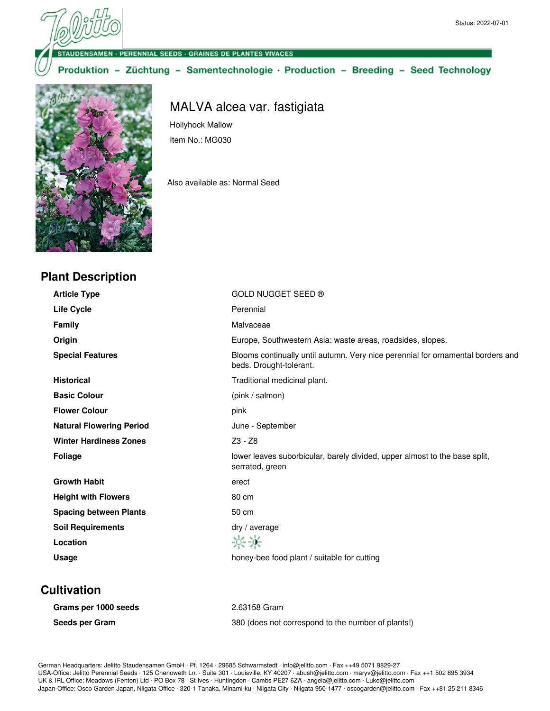**DENSAMEN · PERENNIAL SEEDS · GRAINES DE PLANTES VIVACES** 

Produktion - Züchtung - Samentechnologie · Production - Breeding - Seed Technology



## MALVA alcea var. fastigiata

Hollyhock Mallow Item No.: MG030

Also available as: Normal Seed

| <b>Plant Description</b>        |                                                                                                            |
|---------------------------------|------------------------------------------------------------------------------------------------------------|
| <b>Article Type</b>             | <b>GOLD NUGGET SEED ®</b>                                                                                  |
| <b>Life Cycle</b>               | Perennial                                                                                                  |
| <b>Family</b>                   | Malvaceae                                                                                                  |
| Origin                          | Europe, Southwestern Asia: waste areas, roadsides, slopes.                                                 |
| <b>Special Features</b>         | Blooms continually until autumn. Very nice perennial for ornamental borders and<br>beds. Drought-tolerant. |
| <b>Historical</b>               | Traditional medicinal plant.                                                                               |
| <b>Basic Colour</b>             | (pink / salmon)                                                                                            |
| <b>Flower Colour</b>            | pink                                                                                                       |
| <b>Natural Flowering Period</b> | June - September                                                                                           |
| <b>Winter Hardiness Zones</b>   | $Z3 - Z8$                                                                                                  |
| <b>Foliage</b>                  | lower leaves suborbicular, barely divided, upper almost to the base split,<br>serrated, green              |
| <b>Growth Habit</b>             | erect                                                                                                      |
| <b>Height with Flowers</b>      | 80 cm                                                                                                      |
| <b>Spacing between Plants</b>   | 50 cm                                                                                                      |
| <b>Soil Requirements</b>        | dry / average                                                                                              |
| Location                        | 兴兴                                                                                                         |
| <b>Usage</b>                    | honey-bee food plant / suitable for cutting                                                                |
|                                 |                                                                                                            |

## **Cultivation**

| Grams per 1000 seeds | 2.63158 Gram                                       |
|----------------------|----------------------------------------------------|
| Seeds per Gram       | 380 (does not correspond to the number of plants!) |